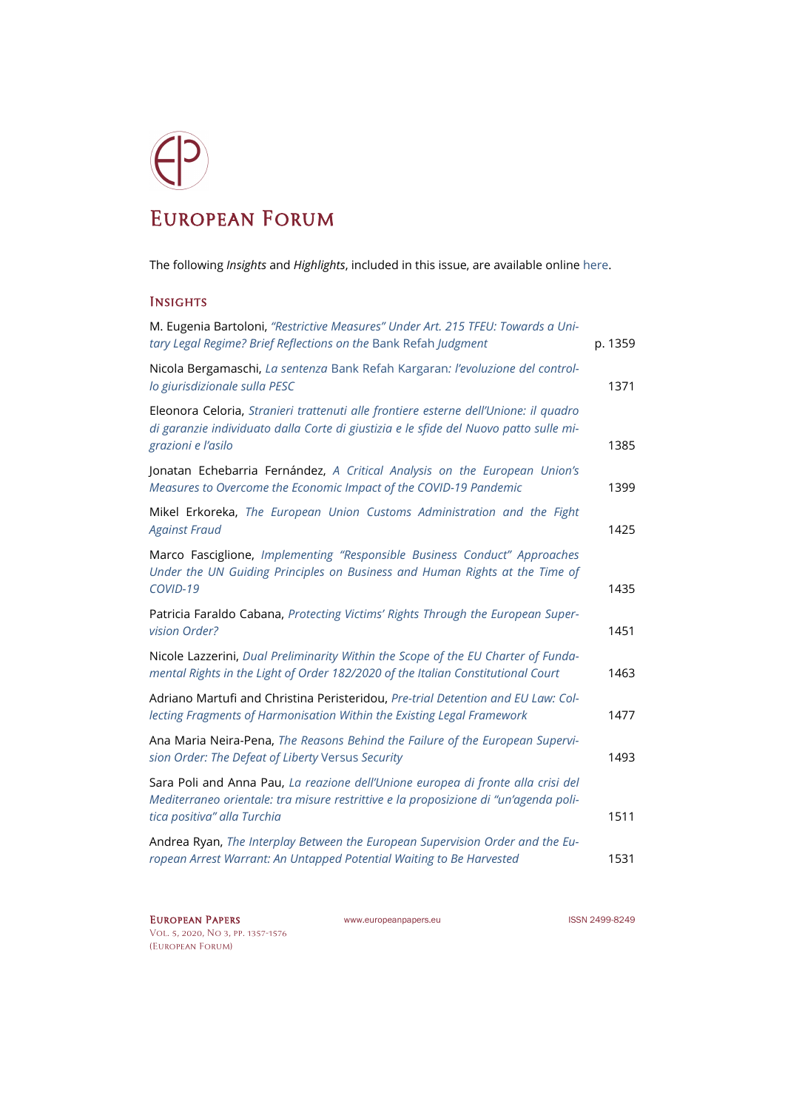## European Forum

The following *Insights* and *Highlights*, included in this issue, are available onlin[e here.](https://www.europeanpapers.eu/en/e-journal/EP_eJ_2020_3_European_Forum)

## **INSIGHTS**

| M. Eugenia Bartoloni, "Restrictive Measures" Under Art. 215 TFEU: Towards a Uni-<br>tary Legal Regime? Brief Reflections on the Bank Refah Judgment                                                     | p. 1359 |
|---------------------------------------------------------------------------------------------------------------------------------------------------------------------------------------------------------|---------|
| Nicola Bergamaschi, La sentenza Bank Refah Kargaran: l'evoluzione del control-<br>lo giurisdizionale sulla PESC                                                                                         | 1371    |
| Eleonora Celoria, Stranieri trattenuti alle frontiere esterne dell'Unione: il quadro<br>di garanzie individuato dalla Corte di giustizia e le sfide del Nuovo patto sulle mi-<br>grazioni e l'asilo     | 1385    |
| Jonatan Echebarria Fernández, A Critical Analysis on the European Union's<br>Measures to Overcome the Economic Impact of the COVID-19 Pandemic                                                          | 1399    |
| Mikel Erkoreka, The European Union Customs Administration and the Fight<br><b>Against Fraud</b>                                                                                                         | 1425    |
| Marco Fasciglione, Implementing "Responsible Business Conduct" Approaches<br>Under the UN Guiding Principles on Business and Human Rights at the Time of<br>COVID-19                                    | 1435    |
| Patricia Faraldo Cabana, Protecting Victims' Rights Through the European Super-<br>vision Order?                                                                                                        | 1451    |
| Nicole Lazzerini, Dual Preliminarity Within the Scope of the EU Charter of Funda-<br>mental Rights in the Light of Order 182/2020 of the Italian Constitutional Court                                   | 1463    |
| Adriano Martufi and Christina Peristeridou, Pre-trial Detention and EU Law: Col-<br>lecting Fragments of Harmonisation Within the Existing Legal Framework                                              | 1477    |
| Ana Maria Neira-Pena, The Reasons Behind the Failure of the European Supervi-<br>sion Order: The Defeat of Liberty Versus Security                                                                      | 1493    |
| Sara Poli and Anna Pau, La reazione dell'Unione europea di fronte alla crisi del<br>Mediterraneo orientale: tra misure restrittive e la proposizione di "un'agenda poli-<br>tica positiva" alla Turchia | 1511    |
| Andrea Ryan, The Interplay Between the European Supervision Order and the Eu-<br>ropean Arrest Warrant: An Untapped Potential Waiting to Be Harvested                                                   | 1531    |